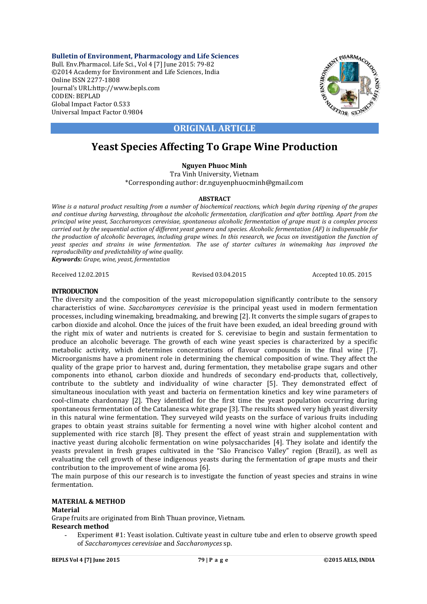**Bulletin of Environment, Pharmacology and Life Sciences** Bull. Env.Pharmacol. Life Sci., Vol 4 [7] June 2015: 79-82 ©2014 Academy for Environment and Life Sciences, India Online ISSN 2277-1808 Journal's URL:http://www.bepls.com CODEN: BEPLAD Global Impact Factor 0.533 Universal Impact Factor 0.9804



## **ORIGINAL ARTICLE**

# **Yeast Species Affecting To Grape Wine Production**

## **Nguyen Phuoc Minh**

Tra Vinh University, Vietnam \*Corresponding author: dr.nguyenphuocminh@gmail.com

### **ABSTRACT**

*Wine is a natural product resulting from a number of biochemical reactions, which begin during ripening of the grapes and continue during harvesting, throughout the alcoholic fermentation, clarification and after bottling. Apart from the principal wine yeast, Saccharomyces cerevisiae, spontaneous alcoholic fermentation of grape must is a complex process carried out by the sequential action of different yeast genera and species. Alcoholic fermentation (AF) is indispensable for the production of alcoholic beverages, including grape wines. In this research, we focus on investigation the function of yeast species and strains in wine fermentation. The use of starter cultures in winemaking has improved the reproducibility and predictability of wine quality.*

*Keywords: Grape, wine, yeast, fermentation*

Received 12.02.2015 Revised 03.04.2015 Accepted 10.05. 2015

#### **INTRODUCTION**

The diversity and the composition of the yeast micropopulation significantly contribute to the sensory characteristics of wine. *Saccharomyces cerevisiae* is the principal yeast used in modern fermentation processes, including winemaking, breadmaking, and brewing [2]. It converts the simple sugars of grapes to carbon dioxide and alcohol. Once the juices of the fruit have been exuded, an ideal breeding ground with the right mix of water and nutrients is created for S. cerevisiae to begin and sustain fermentation to produce an alcoholic beverage. The growth of each wine yeast species is characterized by a specific metabolic activity, which determines concentrations of flavour compounds in the final wine [7]. Microorganisms have a prominent role in determining the chemical composition of wine. They affect the quality of the grape prior to harvest and, during fermentation, they metabolise grape sugars and other components into ethanol, carbon dioxide and hundreds of secondary end-products that, collectively, contribute to the subtlety and individuality of wine character [5]. They demonstrated effect of simultaneous inoculation with yeast and bacteria on fermentation kinetics and key wine parameters of cool-climate chardonnay [2]. They identified for the first time the yeast population occurring during spontaneous fermentation of the Catalanesca white grape [3]. The results showed very high yeast diversity in this natural wine fermentation. They surveyed wild yeasts on the surface of various fruits including grapes to obtain yeast strains suitable for fermenting a novel wine with higher alcohol content and supplemented with rice starch [8]. They present the effect of yeast strain and supplementation with inactive yeast during alcoholic fermentation on wine polysaccharides [4]. They isolate and identify the yeasts prevalent in fresh grapes cultivated in the "São Francisco Valley" region (Brazil), as well as evaluating the cell growth of these indigenous yeasts during the fermentation of grape musts and their contribution to the improvement of wine aroma [6].

The main purpose of this our research is to investigate the function of yeast species and strains in wine fermentation.

## **MATERIAL & METHOD**

#### **Material**

Grape fruits are originated from Binh Thuan province, Vietnam.

#### **Research method**

Experiment #1: Yeast isolation. Cultivate yeast in culture tube and erlen to observe growth speed of *Saccharomyces cerevisiae* and *Saccharomyces* sp.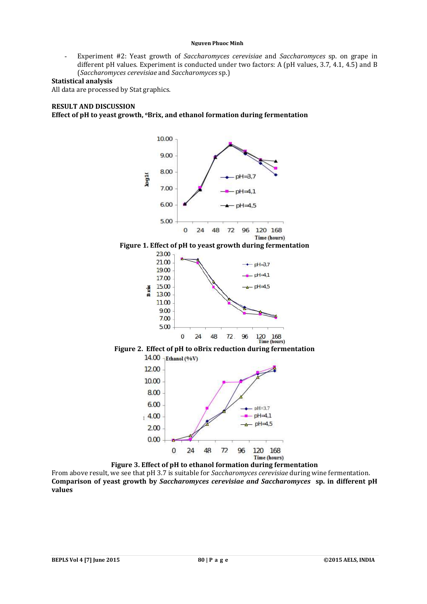#### **Nguyen Phuoc Minh**

- Experiment #2: Yeast growth of *Saccharomyces cerevisiae* and *Saccharomyces* sp. on grape in different pH values. Experiment is conducted under two factors: A (pH values, 3.7, 4.1, 4.5) and B (*Saccharomyces cerevisiae* and *Saccharomyces* sp.)

#### **Statistical analysis**

All data are processed by Stat graphics.

#### **RESULT AND DISCUSSION**

**Effect of pH to yeast growth, oBrix, and ethanol formation during fermentation**



**Figure 3. Effect of pH to ethanol formation during fermentation** From above result, we see that pH 3.7 is suitable for *Saccharomyces cerevisiae* during wine fermentation. **Comparison of yeast growth by** *Saccharomyces cerevisiae and Saccharomyces* **sp. in different pH values**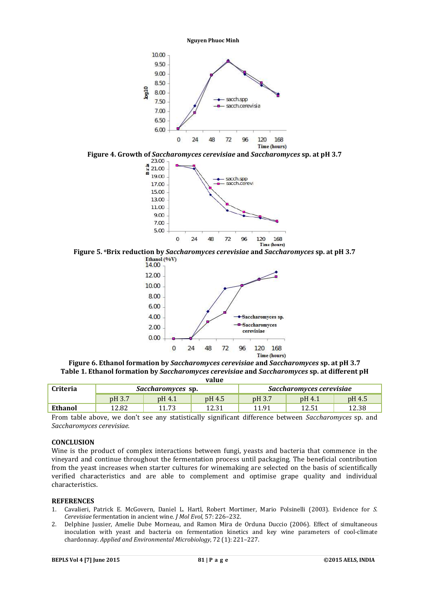









**Figure 6. Ethanol formation by** *Saccharomyces cerevisiae* **and** *Saccharomyces* **sp. at pH 3.7 Table 1. Ethanol formation by** *Saccharomyces cerevisiae* **and** *Saccharomyces* **sp. at different pH value**

| , , , , , ,     |                          |        |        |                          |        |        |
|-----------------|--------------------------|--------|--------|--------------------------|--------|--------|
| <b>Criteria</b> | <i>Saccharomyces</i> sp. |        |        | Saccharomyces cerevisiae |        |        |
|                 | pH 3.7                   | pH 4.1 | pH 4.5 | pH 3.7                   | pH 4.1 | pH 4.5 |
| Ethanol         | 12.82                    | 11 73  | 12.31  | 11.91                    | 12.51  | 12.38  |

From table above, we don't see any statistically significant difference between *Saccharomyces* sp. and *Saccharomyces cerevisiae.* 

#### **CONCLUSION**

Wine is the product of complex interactions between fungi, yeasts and bacteria that commence in the vineyard and continue throughout the fermentation process until packaging. The beneficial contribution from the yeast increases when starter cultures for winemaking are selected on the basis of scientifically verified characteristics and are able to complement and optimise grape quality and individual characteristics.

#### **REFERENCES**

- 1. Cavalieri, Patrick E. McGovern, Daniel L. Hartl, Robert Mortimer, Mario Polsinelli (2003). Evidence for *S. Cerevisiae* fermentation in ancient wine. *J Mol Evol,* 57: 226–232.
- 2. Delphine Jussier, Amelie Dube Morneau, and Ramon Mira de Orduna Duccio (2006). Effect of simultaneous inoculation with yeast and bacteria on fermentation kinetics and key wine parameters of cool-climate chardonnay. *Applied and Environmental Microbiology*, 72 (1): 221–227.